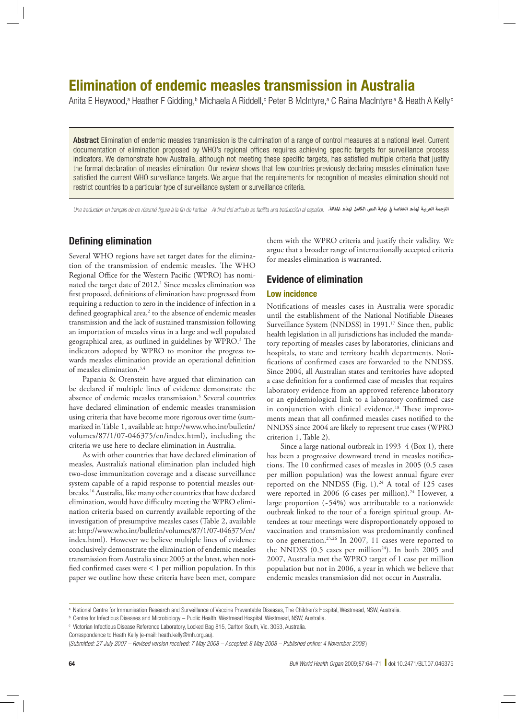# Elimination of endemic measles transmission in Australia

Anita E Heywood,ª Heather F Gidding,ʰ Michaela A Riddell,॰ Peter B McIntyre,ª C Raina MacIntyreª & Heath A Kelly°

Abstract Elimination of endemic measles transmission is the culmination of a range of control measures at a national level. Current documentation of elimination proposed by WHO's regional offices requires achieving specific targets for surveillance process indicators. We demonstrate how Australia, although not meeting these specific targets, has satisfied multiple criteria that justify the formal declaration of measles elimination. Our review shows that few countries previously declaring measles elimination have satisfied the current WHO surveillance targets. We argue that the requirements for recognition of measles elimination should not restrict countries to a particular type of surveillance system or surveillance criteria.

Une traduction en français de ce résumé figure à la fin de l'article. Al final del artículo se facilita una traducción al español. *الرتجمة العربية لهذه الخالصة يف نهاية النص الكامل لهذه املقالة.*

# Defining elimination

Several WHO regions have set target dates for the elimination of the transmission of endemic measles. The WHO Regional Office for the Western Pacific (WPRO) has nominated the target date of 2012.<sup>1</sup> Since measles elimination was first proposed, definitions of elimination have progressed from requiring a reduction to zero in the incidence of infection in a defined geographical area, $2$  to the absence of endemic measles transmission and the lack of sustained transmission following an importation of measles virus in a large and well populated geographical area, as outlined in guidelines by WPRO.<sup>3</sup> The indicators adopted by WPRO to monitor the progress towards measles elimination provide an operational definition of measles elimination.3,4

Papania & Orenstein have argued that elimination can be declared if multiple lines of evidence demonstrate the absence of endemic measles transmission.<sup>5</sup> Several countries have declared elimination of endemic measles transmission using criteria that have become more rigorous over time (summarized in Table 1, available at: [http://www.who.int/bulletin/](http://www.who.int/bulletin/volumes/87/1/07-046375/en/index.html) [volumes/87/1/07-046375/en/index.html](http://www.who.int/bulletin/volumes/87/1/07-046375/en/index.html)), including the criteria we use here to declare elimination in Australia.

As with other countries that have declared elimination of measles, Australia's national elimination plan included high two-dose immunization coverage and a disease surveillance system capable of a rapid response to potential measles outbreaks.16 Australia, like many other countries that have declared elimination, would have difficulty meeting the WPRO elimination criteria based on currently available reporting of the investigation of presumptive measles cases (Table 2, available at: [http://www.who.int/bulletin/volumes/87/1/07-046375/en/](http://www.who.int/bulletin/volumes/87/1/07-046375/en/index.html) [index.html](http://www.who.int/bulletin/volumes/87/1/07-046375/en/index.html)). However we believe multiple lines of evidence conclusively demonstrate the elimination of endemic measles transmission from Australia since 2005 at the latest, when notified confirmed cases were < 1 per million population. In this paper we outline how these criteria have been met, compare

them with the WPRO criteria and justify their validity. We argue that a broader range of internationally accepted criteria for measles elimination is warranted.

# Evidence of elimination

# Low incidence

Notifications of measles cases in Australia were sporadic until the establishment of the National Notifiable Diseases Surveillance System (NNDSS) in 1991.<sup>17</sup> Since then, public health legislation in all jurisdictions has included the mandatory reporting of measles cases by laboratories, clinicians and hospitals, to state and territory health departments. Notifications of confirmed cases are forwarded to the NNDSS. Since 2004, all Australian states and territories have adopted a case definition for a confirmed case of measles that requires laboratory evidence from an approved reference laboratory or an epidemiological link to a laboratory-confirmed case in conjunction with clinical evidence.<sup>18</sup> These improvements mean that all confirmed measles cases notified to the NNDSS since 2004 are likely to represent true cases (WPRO criterion 1, Table 2).

Since a large national outbreak in 1993–4 (Box 1), there has been a progressive downward trend in measles notifications. The 10 confirmed cases of measles in 2005 (0.5 cases per million population) was the lowest annual figure ever reported on the NNDSS (Fig.  $1$ ).<sup>24</sup> A total of 125 cases were reported in 2006 (6 cases per million).<sup>24</sup> However, a large proportion (~54%) was attributable to a nationwide outbreak linked to the tour of a foreign spiritual group. Attendees at tour meetings were disproportionately opposed to vaccination and transmission was predominantly confined to one generation.25,26 In 2007, 11 cases were reported to the NNDSS  $(0.5 \text{ cases per million}^{24})$ . In both 2005 and 2007, Australia met the WPRO target of 1 case per million population but not in 2006, a year in which we believe that endemic measles transmission did not occur in Australia.

a National Centre for Immunisation Research and Surveillance of Vaccine Preventable Diseases, The Children's Hospital, Westmead, NSW, Australia.

b Centre for Infectious Diseases and Microbiology – Public Health, Westmead Hospital, Westmead, NSW, Australia.

c Victorian Infectious Disease Reference Laboratory, Locked Bag 815, Carlton South, Vic. 3053, Australia.

Correspondence to Heath Kelly (e-mail: heath.kelly@mh.org.au).

<sup>(</sup>*Submitted: 27 July 2007 – Revised version received: 7 May 2008 – Accepted: 8 May 2008 – Published online: 4 November 2008* )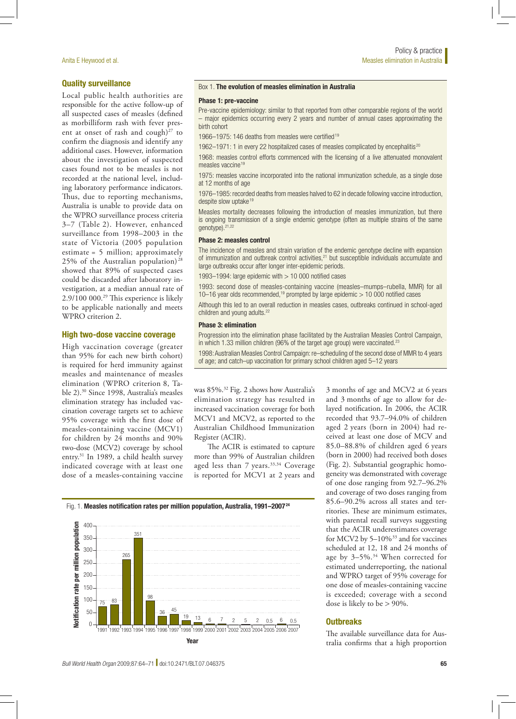# Quality surveillance

Local public health authorities are responsible for the active follow-up of all suspected cases of measles (defined as morbilliform rash with fever present at onset of rash and cough) $27$  to confirm the diagnosis and identify any additional cases. However, information about the investigation of suspected cases found not to be measles is not recorded at the national level, including laboratory performance indicators. Thus, due to reporting mechanisms, Australia is unable to provide data on the WPRO surveillance process criteria 3–7 (Table 2). However, enhanced surveillance from 1998–2003 in the state of Victoria (2005 population estimate = 5 million; approximately 25% of the Australian population) <sup>28</sup> showed that 89% of suspected cases could be discarded after laboratory investigation, at a median annual rate of 2.9/100 000.29 This experience is likely to be applicable nationally and meets WPRO criterion 2.

# High two-dose vaccine coverage

High vaccination coverage (greater than 95% for each new birth cohort) is required for herd immunity against measles and maintenance of measles elimination (WPRO criterion 8, Table 2).30 Since 1998, Australia's measles elimination strategy has included vaccination coverage targets set to achieve 95% coverage with the first dose of measles-containing vaccine (MCV1) for children by 24 months and 90% two-dose (MCV2) coverage by school entry.31 In 1989, a child health survey indicated coverage with at least one dose of a measles-containing vaccine

#### Box 1. The evolution of measles elimination in Australia

#### Phase 1: pre-vaccine

Pre-vaccine epidemiology: similar to that reported from other comparable regions of the world – major epidemics occurring every 2 years and number of annual cases approximating the birth cohort

1966–1975: 146 deaths from measles were certified <sup>19</sup>

1962–1971: 1 in every 22 hospitalized cases of measles complicated by encephalitis<sup>20</sup>

1968: measles control efforts commenced with the licensing of a live attenuated monovalent measles vaccine<sup>19</sup>

1975: measles vaccine incorporated into the national immunization schedule, as a single dose at 12 months of age

1976–1985: recorded deaths from measles halved to 62 in decade following vaccine introduction, despite slow uptake<sup>19</sup>

Measles mortality decreases following the introduction of measles immunization, but there is ongoing transmission of a single endemic genotype (often as multiple strains of the same genotype).21,22

#### Phase 2: measles control

The incidence of measles and strain variation of the endemic genotype decline with expansion of immunization and outbreak control activities, $21$  but susceptible individuals accumulate and large outbreaks occur after longer inter-epidemic periods.

1993–1994: large epidemic with  $> 10000$  notified cases

1993: second dose of measles-containing vaccine (measles–mumps–rubella, MMR) for all 10–16 year olds recommended,<sup>19</sup> prompted by large epidemic  $>$  10 000 notified cases

Although this led to an overall reduction in measles cases, outbreaks continued in school-aged children and young adults.<sup>22</sup>

#### Phase 3: elimination

Progression into the elimination phase facilitated by the Australian Measles Control Campaign, in which 1.33 million children (96% of the target age group) were vaccinated.<sup>23</sup>

1998: Australian Measles Control Campaign: re–scheduling of the second dose of MMR to 4 years of age; and catch–up vaccination for primary school children aged 5–12 years

was 85%.32 Fig. 2 shows how Australia's elimination strategy has resulted in increased vaccination coverage for both MCV1 and MCV2, as reported to the Australian Childhood Immunization Register (ACIR).

The ACIR is estimated to capture more than 99% of Australian children aged less than 7 years.<sup>33,34</sup> Coverage is reported for MCV1 at 2 years and

3 months of age and MCV2 at 6 years and 3 months of age to allow for delayed notification. In 2006, the ACIR recorded that 93.7–94.0% of children aged 2 years (born in 2004) had received at least one dose of MCV and 85.0–88.8% of children aged 6 years (born in 2000) had received both doses (Fig. 2). Substantial geographic homogeneity was demonstrated with coverage of one dose ranging from 92.7–96.2% and coverage of two doses ranging from 85.6–90.2% across all states and territories. These are minimum estimates, with parental recall surveys suggesting that the ACIR underestimates coverage for MCV2 by 5-10%<sup>33</sup> and for vaccines scheduled at 12, 18 and 24 months of age by 3–5%.34 When corrected for estimated underreporting, the national and WPRO target of 95% coverage for one dose of measles-containing vaccine is exceeded; coverage with a second dose is likely to be > 90%.

# **Outbreaks**

The available surveillance data for Australia confirms that a high proportion

#### Fig. 1. Measles notification rates per million population, Australia, 1991-2007<sup>24</sup>

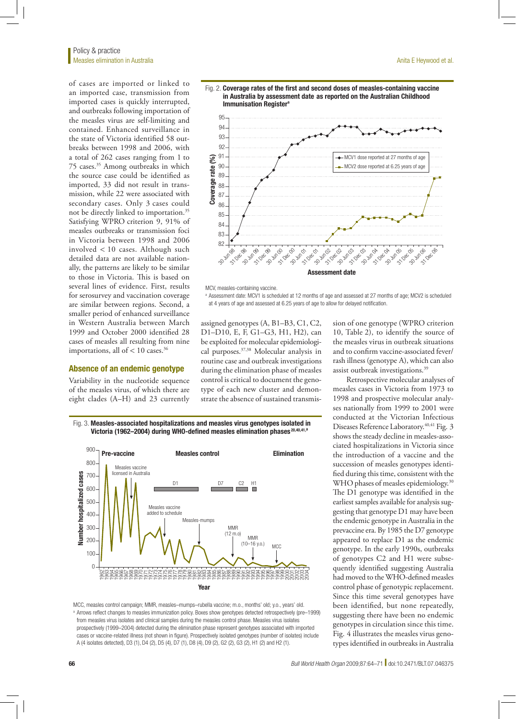of cases are imported or linked to an imported case, transmission from imported cases is quickly interrupted, and outbreaks following importation of the measles virus are self-limiting and contained. Enhanced surveillance in the state of Victoria identified 58 outbreaks between 1998 and 2006, with a total of 262 cases ranging from 1 to 75 cases.35 Among outbreaks in which the source case could be identified as imported, 33 did not result in transmission, while 22 were associated with secondary cases. Only 3 cases could not be directly linked to importation.35 Satisfying WPRO criterion 9, 91% of measles outbreaks or transmission foci in Victoria between 1998 and 2006 involved < 10 cases. Although such detailed data are not available nationally, the patterns are likely to be similar to those in Victoria. This is based on several lines of evidence. First, results for serosurvey and vaccination coverage are similar between regions. Second, a smaller period of enhanced surveillance in Western Australia between March 1999 and October 2000 identified 28 cases of measles all resulting from nine importations, all of  $< 10$  cases.<sup>36</sup>

#### Absence of an endemic genotype

Variability in the nucleotide sequence of the measles virus, of which there are eight clades (A–H) and 23 currently







MCV, measles-containing vaccine.

<sup>a</sup> Assessment date: MCV1 is scheduled at 12 months of age and assessed at 27 months of age; MCV2 is scheduled at 4 years of age and assessed at 6.25 years of age to allow for delayed notification.

assigned genotypes (A, B1–B3, C1, C2, D1–D10, E, F, G1–G3, H1, H2), can be exploited for molecular epidemiological purposes.37,38 Molecular analysis in routine case and outbreak investigations during the elimination phase of measles control is critical to document the genotype of each new cluster and demonstrate the absence of sustained transmission of one genotype (WPRO criterion 10, Table 2), to identify the source of the measles virus in outbreak situations and to confirm vaccine-associated fever/ rash illness (genotype A), which can also assist outbreak investigations.39

Retrospective molecular analyses of measles cases in Victoria from 1973 to 1998 and prospective molecular analyses nationally from 1999 to 2001 were conducted at the Victorian Infectious Diseases Reference Laboratory.<sup>40,41</sup> Fig. 3 shows the steady decline in measles-associated hospitalizations in Victoria since the introduction of a vaccine and the succession of measles genotypes identified during this time, consistent with the WHO phases of measles epidemiology.<sup>30</sup> The D1 genotype was identified in the earliest samples available for analysis suggesting that genotype D1 may have been the endemic genotype in Australia in the prevaccine era. By 1985 the D7 genotype appeared to replace D1 as the endemic genotype. In the early 1990s, outbreaks of genotypes C2 and H1 were subsequently identified suggesting Australia had moved to the WHO-defined measles control phase of genotypic replacement. Since this time several genotypes have been identified, but none repeatedly, suggesting there have been no endemic genotypes in circulation since this time. Fig. 4 illustrates the measles virus genotypes identified in outbreaks in Australia

Fig. 3. Measles-associated hospitalizations and measles virus genotypes isolated in Victoria (1962–2004) during WHO-defined measles elimination phases<sup>20,40,41,a</sup>



MCC, measles control campaign; MMR, measles–mumps–rubella vaccine; m.o., months' old; y.o., years' old. a Arrows reflect changes to measles immunization policy. Boxes show genotypes detected retrospectively (pre-1999) from measles virus isolates and clinical samples during the measles control phase. Measles virus isolates prospectively (1999–2004) detected during the elimination phase represent genotypes associated with imported cases or vaccine-related illness (not shown in figure). Prospectively isolated genotypes (number of isolates) include A (4 isolates detected), D3 (1), D4 (2), D5 (4), D7 (1), D8 (4), D9 (2), G2 (2), G3 (2), H1 (2) and H2 (1).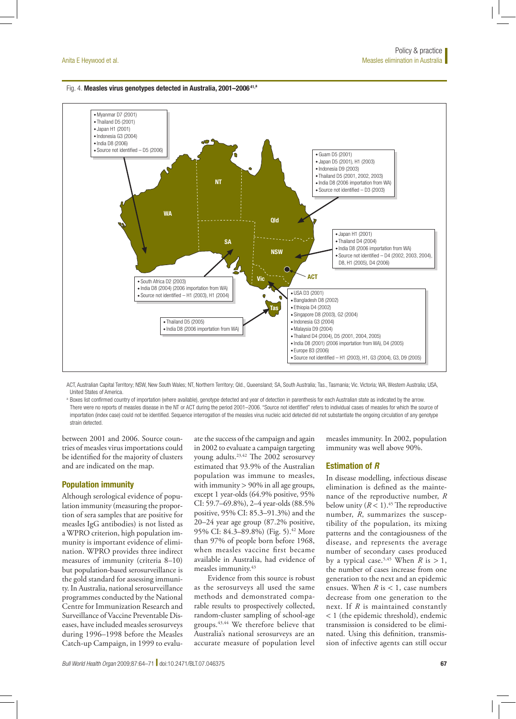#### Fig. 4. Measles virus genotypes detected in Australia, 2001-2006<sup>41,a</sup>



ACT, Australian Capital Territory; NSW, New South Wales; NT, Northern Territory; Qld., Queensland; SA, South Australia; Tas., Tasmania; Vic. Victoria; WA, Western Australia; USA, United States of America.

Boxes list confirmed country of importation (where available), genotype detected and year of detection in parenthesis for each Australian state as indicated by the arrow. There were no reports of measles disease in the NT or ACT during the period 2001–2006. "Source not identified" refers to individual cases of measles for which the source of importation (index case) could not be identified. Sequence interrogation of the measles virus nucleic acid detected did not substantiate the ongoing circulation of any genotype strain detected.

between 2001 and 2006. Source countries of measles virus importations could be identified for the majority of clusters and are indicated on the map.

# Population immunity

Although serological evidence of population immunity (measuring the proportion of sera samples that are positive for measles IgG antibodies) is not listed as a WPRO criterion, high population immunity is important evidence of elimination. WPRO provides three indirect measures of immunity (criteria 8–10) but population-based serosurveillance is the gold standard for assessing immunity. In Australia, national serosurveillance programmes conducted by the National Centre for Immunization Research and Surveillance of Vaccine Preventable Diseases, have included measles serosurveys during 1996–1998 before the Measles Catch-up Campaign, in 1999 to evaluate the success of the campaign and again in 2002 to evaluate a campaign targeting young adults.23,42 The 2002 serosurvey estimated that 93.9% of the Australian population was immune to measles, with immunity  $> 90\%$  in all age groups, except 1 year-olds (64.9% positive, 95% CI: 59.7–69.8%), 2–4 year-olds (88.5% positive, 95% CI: 85.3–91.3%) and the 20–24 year age group (87.2% positive, 95% CI: 84.3-89.8%) (Fig. 5).<sup>42</sup> More than 97% of people born before 1968, when measles vaccine first became available in Australia, had evidence of measles immunity.43

Evidence from this source is robust as the serosurveys all used the same methods and demonstrated comparable results to prospectively collected, random-cluster sampling of school-age groups.43,44 We therefore believe that Australia's national serosurveys are an accurate measure of population level

measles immunity. In 2002, population immunity was well above 90%.

# Estimation of *R*

In disease modelling, infectious disease elimination is defined as the maintenance of the reproductive number, *R* below unity  $(R < 1).45$  The reproductive number, *R*, summarizes the susceptibility of the population, its mixing patterns and the contagiousness of the disease, and represents the average number of secondary cases produced by a typical case.<sup>5,45</sup> When *R* is > 1, the number of cases increase from one generation to the next and an epidemic ensues. When  $R$  is  $\lt 1$ , case numbers decrease from one generation to the next. If *R* is maintained constantly < 1 (the epidemic threshold), endemic transmission is considered to be eliminated. Using this definition, transmission of infective agents can still occur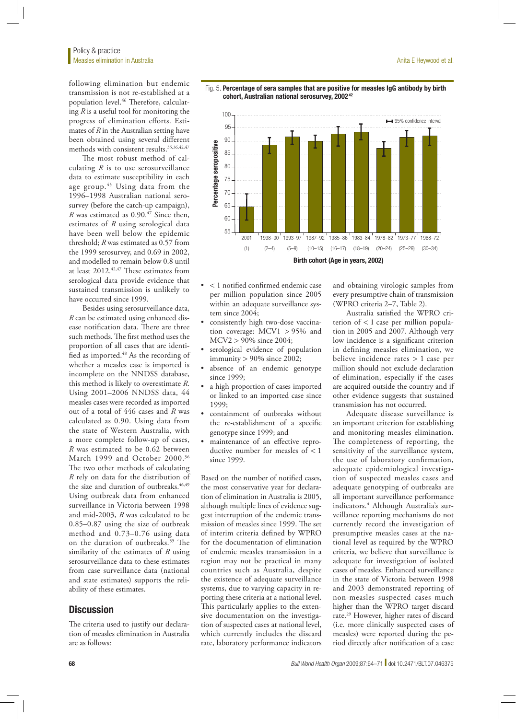following elimination but endemic transmission is not re-established at a population level.46 Therefore, calculating *R* is a useful tool for monitoring the progress of elimination efforts. Estimates of *R* in the Australian setting have been obtained using several different methods with consistent results.<sup>35,36,42,47</sup>

The most robust method of calculating *R* is to use serosurveillance data to estimate susceptibility in each age group.<sup>45</sup> Using data from the 1996–1998 Australian national serosurvey (before the catch-up campaign), *R* was estimated as 0.90.<sup>47</sup> Since then, estimates of *R* using serological data have been well below the epidemic threshold; *R* was estimated as 0.57 from the 1999 serosurvey, and 0.69 in 2002, and modelled to remain below 0.8 until at least 2012.42,47 These estimates from serological data provide evidence that sustained transmission is unlikely to have occurred since 1999.

Besides using serosurveillance data, *R* can be estimated using enhanced disease notification data. There are three such methods. The first method uses the proportion of all cases that are identified as imported.48 As the recording of whether a measles case is imported is incomplete on the NNDSS database, this method is likely to overestimate *R*. Using 2001–2006 NNDSS data, 44 measles cases were recorded as imported out of a total of 446 cases and *R* was calculated as 0.90. Using data from the state of Western Australia, with a more complete follow-up of cases, *R* was estimated to be 0.62 between March 1999 and October 2000.36 The two other methods of calculating *R* rely on data for the distribution of the size and duration of outbreaks.<sup>46,49</sup> Using outbreak data from enhanced surveillance in Victoria between 1998 and mid-2003, *R* was calculated to be 0.85–0.87 using the size of outbreak method and 0.73–0.76 using data on the duration of outbreaks.<sup>35</sup> The similarity of the estimates of *R* using serosurveillance data to these estimates from case surveillance data (national and state estimates) supports the reliability of these estimates.

# **Discussion**

The criteria used to justify our declaration of measles elimination in Australia are as follows:





- < 1 notified confirmed endemic case per million population since 2005 within an adequate surveillance system since 2004;
- • consistently high two-dose vaccination coverage: MCV1 > 95% and MCV2 > 90% since 2004;
- serological evidence of population immunity > 90% since 2002;
- absence of an endemic genotype since 1999;
- • a high proportion of cases imported or linked to an imported case since 1999;
- • containment of outbreaks without the re-establishment of a specific genotype since 1999; and
- • maintenance of an effective reproductive number for measles of < 1 since 1999.

Based on the number of notified cases, the most conservative year for declaration of elimination in Australia is 2005, although multiple lines of evidence suggest interruption of the endemic transmission of measles since 1999. The set of interim criteria defined by WPRO for the documentation of elimination of endemic measles transmission in a region may not be practical in many countries such as Australia, despite the existence of adequate surveillance systems, due to varying capacity in reporting these criteria at a national level. This particularly applies to the extensive documentation on the investigation of suspected cases at national level, which currently includes the discard rate, laboratory performance indicators

and obtaining virologic samples from every presumptive chain of transmission (WPRO criteria 2–7, Table 2).

Australia satisfied the WPRO criterion of < 1 case per million population in 2005 and 2007. Although very low incidence is a significant criterion in defining measles elimination, we believe incidence rates > 1 case per million should not exclude declaration of elimination, especially if the cases are acquired outside the country and if other evidence suggests that sustained transmission has not occurred.

Adequate disease surveillance is an important criterion for establishing and monitoring measles elimination. The completeness of reporting, the sensitivity of the surveillance system, the use of laboratory confirmation, adequate epidemiological investigation of suspected measles cases and adequate genotyping of outbreaks are all important surveillance performance indicators.4 Although Australia's surveillance reporting mechanisms do not currently record the investigation of presumptive measles cases at the national level as required by the WPRO criteria, we believe that surveillance is adequate for investigation of isolated cases of measles. Enhanced surveillance in the state of Victoria between 1998 and 2003 demonstrated reporting of non-measles suspected cases much higher than the WPRO target discard rate.29 However, higher rates of discard (i.e. more clinically suspected cases of measles) were reported during the period directly after notification of a case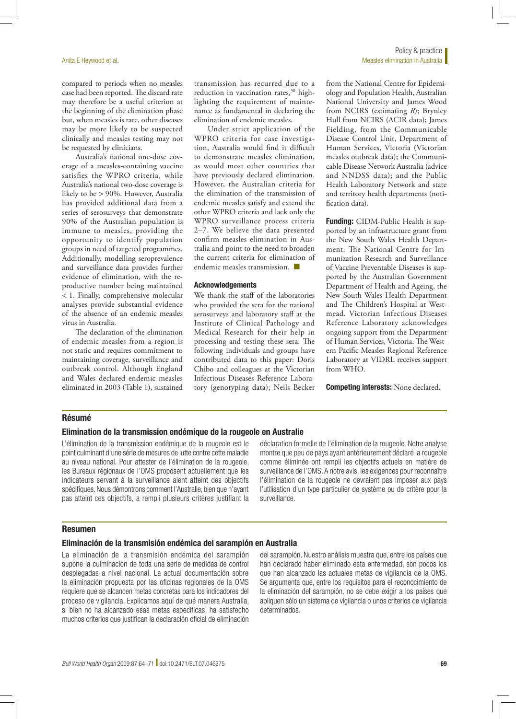compared to periods when no measles case had been reported. The discard rate may therefore be a useful criterion at the beginning of the elimination phase but, when measles is rare, other diseases may be more likely to be suspected clinically and measles testing may not be requested by clinicians.

Australia's national one-dose coverage of a measles-containing vaccine satisfies the WPRO criteria, while Australia's national two-dose coverage is likely to be > 90%. However, Australia has provided additional data from a series of serosurveys that demonstrate 90% of the Australian population is immune to measles, providing the opportunity to identify population groups in need of targeted programmes. Additionally, modelling seroprevalence and surveillance data provides further evidence of elimination, with the reproductive number being maintained < 1. Finally, comprehensive molecular analyses provide substantial evidence of the absence of an endemic measles virus in Australia.

The declaration of the elimination of endemic measles from a region is not static and requires commitment to maintaining coverage, surveillance and outbreak control. Although England and Wales declared endemic measles eliminated in 2003 (Table 1), sustained

transmission has recurred due to a reduction in vaccination rates,<sup>50</sup> highlighting the requirement of maintenance as fundamental in declaring the elimination of endemic measles.

Under strict application of the WPRO criteria for case investigation, Australia would find it difficult to demonstrate measles elimination, as would most other countries that have previously declared elimination. However, the Australian criteria for the elimination of the transmission of endemic measles satisfy and extend the other WPRO criteria and lack only the WPRO surveillance process criteria 2–7. We believe the data presented confirm measles elimination in Australia and point to the need to broaden the current criteria for elimination of endemic measles transmission. ■

#### Acknowledgements

We thank the staff of the laboratories who provided the sera for the national serosurveys and laboratory staff at the Institute of Clinical Pathology and Medical Research for their help in processing and testing these sera. The following individuals and groups have contributed data to this paper: Doris Chibo and colleagues at the Victorian Infectious Diseases Reference Laboratory (genotyping data); Neils Becker from the National Centre for Epidemiology and Population Health, Australian National University and James Wood from NCIRS (estimating *R*); Brynley Hull from NCIRS (ACIR data); James Fielding, from the Communicable Disease Control Unit, Department of Human Services, Victoria (Victorian measles outbreak data); the Communicable Disease Network Australia (advice and NNDSS data); and the Public Health Laboratory Network and state and territory health departments (notification data).

Funding: CIDM-Public Health is supported by an infrastructure grant from the New South Wales Health Department. The National Centre for Immunization Research and Surveillance of Vaccine Preventable Diseases is supported by the Australian Government Department of Health and Ageing, the New South Wales Health Department and The Children's Hospital at Westmead. Victorian Infectious Diseases Reference Laboratory acknowledges ongoing support from the Department of Human Services, Victoria. The Western Pacific Measles Regional Reference Laboratory at VIDRL receives support from WHO.

Competing interests: None declared.

#### Résumé

# Elimination de la transmission endémique de la rougeole en Australie

L'élimination de la transmission endémique de la rougeole est le point culminant d'une série de mesures de lutte contre cette maladie au niveau national. Pour attester de l'élimination de la rougeole, les Bureaux régionaux de l'OMS proposent actuellement que les indicateurs servant à la surveillance aient atteint des objectifs spécifiques. Nous démontrons comment l'Australie, bien que n'ayant pas atteint ces objectifs, a rempli plusieurs critères justifiant la

déclaration formelle de l'élimination de la rougeole. Notre analyse montre que peu de pays ayant antérieurement déclaré la rougeole comme éliminée ont rempli les objectifs actuels en matière de surveillance de l'OMS. A notre avis, les exigences pour reconnaître l'élimination de la rougeole ne devraient pas imposer aux pays l'utilisation d'un type particulier de système ou de critère pour la surveillance.

#### Resumen

# Eliminación de la transmisión endémica del sarampión en Australia

La eliminación de la transmisión endémica del sarampión supone la culminación de toda una serie de medidas de control desplegadas a nivel nacional. La actual documentación sobre la eliminación propuesta por las oficinas regionales de la OMS requiere que se alcancen metas concretas para los indicadores del proceso de vigilancia. Explicamos aquí de qué manera Australia, si bien no ha alcanzado esas metas específicas, ha satisfecho muchos criterios que justifican la declaración oficial de eliminación

del sarampión. Nuestro análisis muestra que, entre los países que han declarado haber eliminado esta enfermedad, son pocos los que han alcanzado las actuales metas de vigilancia de la OMS. Se argumenta que, entre los requisitos para el reconocimiento de la eliminación del sarampión, no se debe exigir a los países que apliquen sólo un sistema de vigilancia o unos criterios de vigilancia determinados.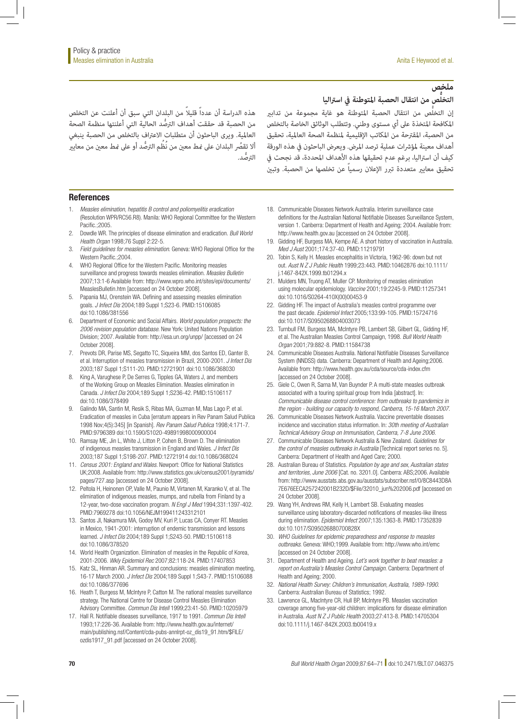# **ملخص**

**ُّص من انتقال الحصبة املتوطنة يف اسرتاليا التخل**

هذه الدراسة أن عدداً ً قليال من البلدان التي سبق أن أعلنت عن التخلص ُّ من الحصبة قد حققت أهداف الرتصد الحالية التي أعلنتها منظمة الصحة العاملية. ويرى الباحثون أن متطلبات االعرتاف بالتخلص من الحصبة ينبغي اًلا تقصُر البلدان على مُط معن من نُظُم الترصُّد أو على مُط معن من معاير ُّ الرتصد.

إن التخلُّص من انتقال الحصبة المتوطنة هو غاية مجموعة من تدابير املكافحة املتخذة عىل أي مستوى وطني. وتتطلب الوثائق الخاصة بالتخلص من الحصبة، املقرتحة من املكاتب اإلقليمية ملنظمة الصحة العاملية، تحقيق أهداف معينة لمؤشرات عملية ترصد المرض. ويعرض الباحثون في هذه الورقة كيف أن استراليا، برغم عدم تحقيقها هذه الأهداف المحددة، قد نجحت في تحقيق معاير متعددة تبرر الإعلان رسمياً عن تخلصها من الحصبة. وتبن

#### References

- 1. *Measles elimination, hepatitis B control and poliomyelitis eradication* (Resolution WPR/RC56.R8). Manila: WHO Regional Committee for the Western Pacific.;2005.
- 2. Dowdle WR. The principles of disease elimination and eradication. *Bull World Health Organ* 1998;76 Suppl 2:22-5.
- 3. *Field guidelines for measles elimination*. Geneva: WHO Regional Office for the Western Pacific.: 2004
- 4. WHO Regional Office for the Western Pacific. Monitoring measles surveillance and progress towards measles elimination. *Measles Bulletin* 2007;13:1-6 Available from: [http://www.wpro.who.int/sites/epi/documents/](http://www.wpro.who.int/sites/epi/documents/MeaslesBulletin.htm) [MeaslesBulletin.htm](http://www.wpro.who.int/sites/epi/documents/MeaslesBulletin.htm) [accessed on 24 October 2008].
- 5. Papania MJ, Orenstein WA. Defining and assessing measles elimination goals. *J Infect Dis* 2004;189 Suppl 1;S23-6. [PMID:15106085](http://www.ncbi.nlm.nih.gov/sites/entrez?cmd=Retrieve&db=PubMed&list_uids=15106085&dopt=Abstract) [doi:10.1086/381556](http://dx.doi.org/10.1086/381556)
- 6. Department of Economic and Social Affairs. *World population prospects: the 2006 revision population database*. New York: United Nations Population Division; 2007. Available from: http://esa.un.org/unpp/ [accessed on 24 October 2008].
- 7. Prevots DR, Parise MS, Segatto TC, Siqueira MM, dos Santos ED, Ganter B, et al. Interruption of measles transmission in Brazil, 2000-2001. *J Infect Dis* 2003;187 Suppl 1;S111-20. [PMID:12721901](http://www.ncbi.nlm.nih.gov/sites/entrez?cmd=Retrieve&db=PubMed&list_uids=12721901&dopt=Abstract) [doi:10.1086/368030](http://dx.doi.org/10.1086/368030)
- 8. King A, Varughese P, De Serres G, Tipples GA, Waters J, and members of the Working Group on Measles Elimination. Measles elimination in Canada. *J Infect Dis* 2004;189 Suppl 1;S236-42. [PMID:15106117](http://www.ncbi.nlm.nih.gov/sites/entrez?cmd=Retrieve&db=PubMed&list_uids=15106117&dopt=Abstract) [doi:10.1086/378499](http://dx.doi.org/10.1086/378499)
- 9. Galindo MA, Santin M, Resik S, Ribas MA, Guzman M, Mas Lago P, et al. Eradication of measles in Cuba [erratum appears in Rev Panam Salud Publica 1998 Nov;4(5):345] [in Spanish]. *Rev Panam Salud Publica* 1998;4:171-7. [PMID:9796389](http://www.ncbi.nlm.nih.gov/sites/entrez?cmd=Retrieve&db=PubMed&list_uids=9796389&dopt=Abstract) [doi:10.1590/S1020-49891998000900004](http://dx.doi.org/10.1590/S1020-49891998000900004)
- 10. Ramsay ME, Jin L, White J, Litton P, Cohen B, Brown D. The elimination of indigenous measles transmission in England and Wales. *J Infect Dis* 2003;187 Suppl 1;S198-207. [PMID:12721914](http://www.ncbi.nlm.nih.gov/sites/entrez?cmd=Retrieve&db=PubMed&list_uids=12721914&dopt=Abstract) [doi:10.1086/368024](http://dx.doi.org/10.1086/368024)
- 11. *Census 2001: England and Wales*. Newport: Office for National Statistics UK;2008. Available from: [http://www.statistics.gov.uk/census2001/pyramids/](http://www.statistics.gov.uk/census2001/pyramids/pages/727.asp) [pages/727.asp](http://www.statistics.gov.uk/census2001/pyramids/pages/727.asp) [accessed on 24 October 2008].
- 12. Peltola H, Heinonen OP, Valle M, Paunio M, Virtanen M, Karanko V, et al. The elimination of indigenous measles, mumps, and rubella from Finland by a 12-year, two-dose vaccination program. *N Engl J Med* 1994;331:1397-402. [PMID:7969278](http://www.ncbi.nlm.nih.gov/sites/entrez?cmd=Retrieve&db=PubMed&list_uids=7969278&dopt=Abstract) [doi:10.1056/NEJM199411243312101](http://dx.doi.org/10.1056/NEJM199411243312101)
- 13. Santos JI, Nakamura MA, Godoy MV, Kuri P, Lucas CA, Conyer RT. Measles in Mexico, 1941-2001: interruption of endemic transmission and lessons learned. *J Infect Dis* 2004;189 Suppl 1;S243-50. [PMID:15106118](http://www.ncbi.nlm.nih.gov/sites/entrez?cmd=Retrieve&db=PubMed&list_uids=15106118&dopt=Abstract) [doi:10.1086/378520](http://dx.doi.org/10.1086/378520)
- 14. World Health Organization. Elimination of measles in the Republic of Korea, 2001-2006. *Wkly Epidemiol Rec* 2007;82:118-24. [PMID:17407853](http://www.ncbi.nlm.nih.gov/sites/entrez?cmd=Retrieve&db=PubMed&list_uids=17407853&dopt=Abstract)
- 15. Katz SL, Hinman AR. Summary and conclusions: measles elimination meeting, 16-17 March 2000. *J Infect Dis* 2004;189 Suppl 1;S43-7. [PMID:15106088](http://www.ncbi.nlm.nih.gov/sites/entrez?cmd=Retrieve&db=PubMed&list_uids=15106088&dopt=Abstract) [doi:10.1086/377696](http://dx.doi.org/10.1086/377696)
- 16. Heath T, Burgess M, McIntyre P, Catton M. The national measles surveillance strategy. The National Centre for Disease Control Measles Elimination Advisory Committee. *Commun Dis Intell* 1999;23:41-50. [PMID:10205979](http://www.ncbi.nlm.nih.gov/sites/entrez?cmd=Retrieve&db=PubMed&list_uids=10205979&dopt=Abstract)
- 17. Hall R. Notifiable diseases surveillance, 1917 to 1991. *Commun Dis Intell* 1993;17:226-36. Available from: [http://www.health.gov.au/internet/](http://www.health.gov.au/internet/main/publishing.nsf/Content/cda-pubs-annlrpt-oz_dis19_91.htm/$FILE/ozdis1917_91.pdf) [main/publishing.nsf/Content/cda-pubs-annlrpt-oz\\_dis19\\_91.htm/\\$FILE/](http://www.health.gov.au/internet/main/publishing.nsf/Content/cda-pubs-annlrpt-oz_dis19_91.htm/$FILE/ozdis1917_91.pdf) [ozdis1917\\_91.pdf](http://www.health.gov.au/internet/main/publishing.nsf/Content/cda-pubs-annlrpt-oz_dis19_91.htm/$FILE/ozdis1917_91.pdf) [accessed on 24 October 2008].
- 18. Communicable Diseases Network Australia. Interim surveillance case definitions for the Australian National Notifiable Diseases Surveillance System, version 1. Canberra: Department of Health and Ageing; 2004. Available from: http://www.health.gov.au [accessed on 24 October 2008].
- 19. Gidding HF, Burgess MA, Kempe AE. A short history of vaccination in Australia. *Med J Aust* 2001;174:37-40. [PMID:11219791](http://www.ncbi.nlm.nih.gov/sites/entrez?cmd=Retrieve&db=PubMed&list_uids=11219791&dopt=Abstract)
- 20. Tobin S, Kelly H. Measles encephalitis in Victoria, 1962-96: down but not out. *Aust N Z J Public Health* 1999;23:443. [PMID:10462876](http://www.ncbi.nlm.nih.gov/sites/entrez?cmd=Retrieve&db=PubMed&list_uids=10462876&dopt=Abstract) [doi:10.1111/](http://dx.doi.org/10.1111/j.1467-842X.1999.tb01294.x) [j.1467-842X.1999.tb01294.x](http://dx.doi.org/10.1111/j.1467-842X.1999.tb01294.x)
- 21. Mulders MN, Truong AT, Muller CP. Monitoring of measles elimination using molecular epidemiology. *Vaccine* 2001;19:2245-9. [PMID:11257341](http://www.ncbi.nlm.nih.gov/sites/entrez?cmd=Retrieve&db=PubMed&list_uids=11257341&dopt=Abstract) [doi:10.1016/S0264-410X\(00\)00453-9](http://dx.doi.org/10.1016/S0264-410X(00)00453-9)
- 22. Gidding HF. The impact of Australia's measles control programme over the past decade. *Epidemiol Infect* 2005;133:99-105. [PMID:15724716](http://www.ncbi.nlm.nih.gov/sites/entrez?cmd=Retrieve&db=PubMed&list_uids=15724716&dopt=Abstract) [doi:10.1017/S0950268804003073](http://dx.doi.org/10.1017/S0950268804003073)
- 23. Turnbull FM, Burgess MA, McIntyre PB, Lambert SB, Gilbert GL, Gidding HF, et al. The Australian Measles Control Campaign, 1998. *Bull World Health Organ* 2001;79:882-8. [PMID:11584738](http://www.ncbi.nlm.nih.gov/sites/entrez?cmd=Retrieve&db=PubMed&list_uids=11584738&dopt=Abstract)
- 24. Communicable Diseases Australia. National Notifiable Diseases Surveillance System (NNDSS) data. Canberra: Department of Health and Ageing;2006. Available from: http://www.health.gov.au/cda/source/cda-index.cfm [accessed on 24 October 2008].
- 25. Giele C, Owen R, Sarna M, Van Buynder P. A multi-state measles outbreak associated with a touring spiritual group from India [abstract]. In: *Communicable disease control conference: from outbreaks to pandemics in the region - building our capacity to respond, Canberra, 15-16 March 2007*.
- 26. Communicable Diseases Network Australia. Vaccine preventable diseases incidence and vaccination status information. In: *30th meeting of Australian Technical Advisory Group on Immunisation*, *Canberra, 7-8 June 2006.*
- 27. Communicable Diseases Network Australia & New Zealand. *Guidelines for the control of measles outbreaks in Australia* [Technical report series no. 5]. Canberra: Department of Health and Aged Care; 2000.
- 28. Australian Bureau of Statistics. *Population by age and sex, Australian states and territories, June 2006* [Cat. no. 3201.0]. Canberra: ABS;2006. Available from: http://www.ausstats.abs.gov.au/ausstats/subscriber.nsf/0/8C8443D8A 7E676EECA257242001B232D/\$File/32010\_jun%202006.pdf [accessed on 24 October 2008].
- 29. Wang YH, Andrews RM, Kelly H, Lambert SB. Evaluating measles surveillance using laboratory-discarded notifications of measles-like illness during elimination. *Epidemiol Infect* 2007;135:1363-8. [PMID:17352839](http://www.ncbi.nlm.nih.gov/sites/entrez?cmd=Retrieve&db=PubMed&list_uids=17352839&dopt=Abstract) [doi:10.1017/S095026880700828X](http://dx.doi.org/10.1017/S095026880700828X)
- 30. *WHO Guidelines for epidemic preparedness and response to measles outbreaks*. Geneva: WHO;1999. Available from: <http://www.who.int/emc> [accessed on 24 October 2008].
- 31. Department of Health and Ageing. *Let's work together to beat measles: a report on Australia's Measles Control Campaign*. Canberra: Department of Health and Ageing; 2000.
- 32. *National Health Survey: Children's Immunisation, Australia, 1989-1990*. Canberra: Australian Bureau of Statistics; 1992.
- 33. Lawrence GL, MacIntyre CR, Hull BP, McIntyre PB. Measles vaccination coverage among five-year-old children: implications for disease elimination in Australia. *Aust N Z J Public Health* 2003;27:413-8. [PMID:14705304](http://www.ncbi.nlm.nih.gov/sites/entrez?cmd=Retrieve&db=PubMed&list_uids=14705304&dopt=Abstract) [doi:10.1111/j.1467-842X.2003.tb00419.x](http://dx.doi.org/10.1111/j.1467-842X.2003.tb00419.x)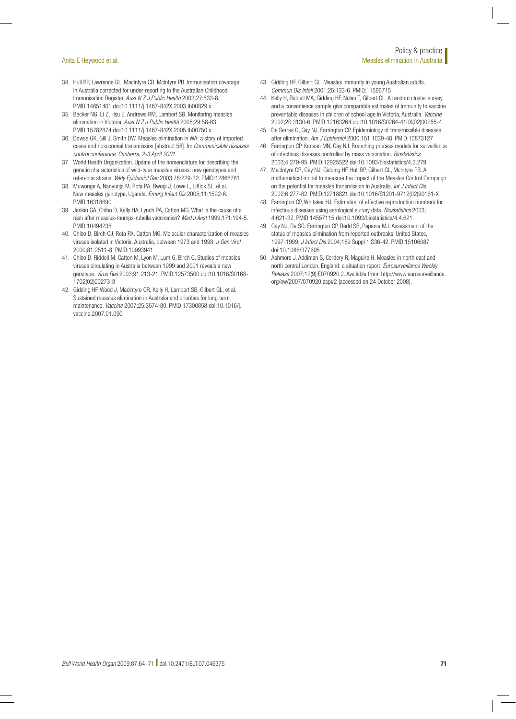- 34. Hull BP, Lawrence GL, MacIntyre CR, McIntyre PB. Immunisation coverage in Australia corrected for under-reporting to the Australian Childhood Immunisation Register. *Aust N Z J Public Health* 2003;27:533-8. [PMID:14651401](http://www.ncbi.nlm.nih.gov/sites/entrez?cmd=Retrieve&db=PubMed&list_uids=14651401&dopt=Abstract) [doi:10.1111/j.1467-842X.2003.tb00829.x](http://dx.doi.org/10.1111/j.1467-842X.2003.tb00829.x)
- 35. Becker NG, Li Z, Hsu E, Andrews RM, Lambert SB. Monitoring measles elimination in Victoria. *Aust N Z J Public Health* 2005;29:58-63. [PMID:15782874](http://www.ncbi.nlm.nih.gov/sites/entrez?cmd=Retrieve&db=PubMed&list_uids=15782874&dopt=Abstract) [doi:10.1111/j.1467-842X.2005.tb00750.x](http://dx.doi.org/10.1111/j.1467-842X.2005.tb00750.x)
- 36. Dowse GK, Gill J, Smith DW. Measles elimination in WA: a story of imported cases and nosocomial transmission [abstract 58]. In: *Communicable diseases control conference, Canberra, 2-3 April 2001*.
- 37. World Health Organization. Update of the nomenclature for describing the genetic characteristics of wild-type measles viruses: new genotypes and reference strains. *Wkly Epidemiol Rec* 2003;78:229-32. [PMID:12866261](http://www.ncbi.nlm.nih.gov/sites/entrez?cmd=Retrieve&db=PubMed&list_uids=12866261&dopt=Abstract)
- 38. Muwonge A, Nanyunja M, Rota PA, Bwogi J, Lowe L, Liffick SL, et al. New measles genotype, Uganda. *Emerg Infect Dis* 2005;11:1522-6. [PMID:16318690](http://www.ncbi.nlm.nih.gov/sites/entrez?cmd=Retrieve&db=PubMed&list_uids=16318690&dopt=Abstract)
- 39. Jenkin GA, Chibo D, Kelly HA, Lynch PA, Catton MG. What is the cause of a rash after measles-mumps-rubella vaccination? *Med J Aust* 1999;171:194-5. [PMID:10494235](http://www.ncbi.nlm.nih.gov/sites/entrez?cmd=Retrieve&db=PubMed&list_uids=10494235&dopt=Abstract)
- 40. Chibo D, Birch CJ, Rota PA, Catton MG. Molecular characterization of measles viruses isolated in Victoria, Australia, between 1973 and 1998. *J Gen Virol* 2000;81:2511-8. [PMID:10993941](http://www.ncbi.nlm.nih.gov/sites/entrez?cmd=Retrieve&db=PubMed&list_uids=10993941&dopt=Abstract)
- 41. Chibo D, Riddell M, Catton M, Lyon M, Lum G, Birch C. Studies of measles viruses circulating in Australia between 1999 and 2001 reveals a new genotype. *Virus Res* 2003;91:213-21. [PMID:12573500](http://www.ncbi.nlm.nih.gov/sites/entrez?cmd=Retrieve&db=PubMed&list_uids=12573500&dopt=Abstract) [doi:10.1016/S0168-](http://dx.doi.org/10.1016/S0168-1702(02)00273-3) [1702\(02\)00273-3](http://dx.doi.org/10.1016/S0168-1702(02)00273-3)
- 42. Gidding HF, Wood J, MacIntyre CR, Kelly H, Lambert SB, Gilbert GL, et al. Sustained measles elimination in Australia and priorities for long term maintenance. *Vaccine* 2007;25:3574-80. [PMID:17300858](http://www.ncbi.nlm.nih.gov/sites/entrez?cmd=Retrieve&db=PubMed&list_uids=17300858&dopt=Abstract) [doi:10.1016/j.](http://dx.doi.org/10.1016/j.vaccine.2007.01.090) [vaccine.2007.01.090](http://dx.doi.org/10.1016/j.vaccine.2007.01.090)
- 43. Gidding HF, Gilbert GL. Measles immunity in young Australian adults. *Commun Dis Intell* 2001;25:133-6. [PMID:11596715](http://www.ncbi.nlm.nih.gov/sites/entrez?cmd=Retrieve&db=PubMed&list_uids=11596715&dopt=Abstract)
- 44. Kelly H, Riddell MA, Gidding HF, Nolan T, Gilbert GL. A random cluster survey and a convenience sample give comparable estimates of immunity to vaccine preventable diseases in children of school age in Victoria, Australia. *Vaccine* 2002;20:3130-6. [PMID:12163264](http://www.ncbi.nlm.nih.gov/sites/entrez?cmd=Retrieve&db=PubMed&list_uids=12163264&dopt=Abstract) [doi:10.1016/S0264-410X\(02\)00255-4](http://dx.doi.org/10.1016/S0264-410X(02)00255-4)
- 45. De Serres G, Gay NJ, Farrington CP. Epidemiology of transmissible diseases after elimination. *Am J Epidemiol* 2000;151:1039-48. [PMID:10873127](http://www.ncbi.nlm.nih.gov/sites/entrez?cmd=Retrieve&db=PubMed&list_uids=10873127&dopt=Abstract)
- 46. Farrington CP, Kanaan MN, Gay NJ. Branching process models for surveillance of infectious diseases controlled by mass vaccination. *Biostatistics* 2003;4:279-95. [PMID:12925522](http://www.ncbi.nlm.nih.gov/sites/entrez?cmd=Retrieve&db=PubMed&list_uids=12925522&dopt=Abstract) [doi:10.1093/biostatistics/4.2.279](http://dx.doi.org/10.1093/biostatistics/4.2.279)
- 47. MacIntyre CR, Gay NJ, Gidding HF, Hull BP, Gilbert GL, McIntyre PB. A mathematical model to measure the impact of the Measles Control Campaign on the potential for measles transmission in Australia. *Int J Infect Dis* 2002;6:277-82. [PMID:12718821](http://www.ncbi.nlm.nih.gov/sites/entrez?cmd=Retrieve&db=PubMed&list_uids=12718821&dopt=Abstract) [doi:10.1016/S1201-9712\(02\)90161-X](http://dx.doi.org/10.1016/S1201-9712(02)90161-X)
- 48. Farrington CP, Whitaker HJ. Estimation of effective reproduction numbers for infectious diseases using serological survey data. *Biostatistics* 2003; 4:621-32. [PMID:14557115](http://www.ncbi.nlm.nih.gov/sites/entrez?cmd=Retrieve&db=PubMed&list_uids=14557115&dopt=Abstract) [doi:10.1093/biostatistics/4.4.621](http://dx.doi.org/10.1093/biostatistics/4.4.621)
- 49. Gay NJ, De SG, Farrington CP, Redd SB, Papania MJ. Assessment of the status of measles elimination from reported outbreaks: United States, 1997-1999. *J Infect Dis* 2004;189 Suppl 1;S36-42. [PMID:15106087](http://www.ncbi.nlm.nih.gov/sites/entrez?cmd=Retrieve&db=PubMed&list_uids=15106087&dopt=Abstract) [doi:10.1086/377695](http://dx.doi.org/10.1086/377695)
- 50. Ashmore J, Addiman S, Cordery R, Maguire H. Measles in north east and north central London, England: a situation report. *Eurosurveillance Weekly Release* 2007;12(9):E070920.2. Available from: [http://www.eurosurveillance.](http://www.eurosurveillance.org/ew/2007/070920.asp#2) [org/ew/2007/070920.asp#2](http://www.eurosurveillance.org/ew/2007/070920.asp#2) [accessed on 24 October 2008].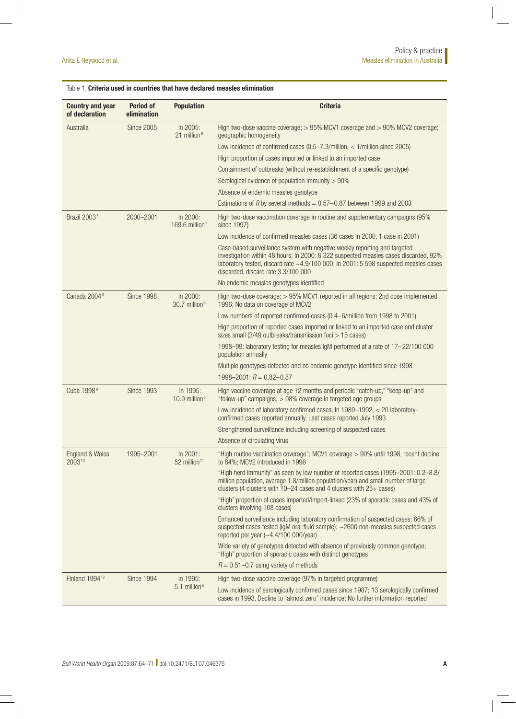# Table 1. Criteria used in countries that have declared measles elimination

| <b>Country and year</b><br>of declaration | <b>Period of</b><br>elimination | <b>Population</b>                       | <b>Criteria</b>                                                                                                                                                                                                                                                                                   |  |  |  |  |
|-------------------------------------------|---------------------------------|-----------------------------------------|---------------------------------------------------------------------------------------------------------------------------------------------------------------------------------------------------------------------------------------------------------------------------------------------------|--|--|--|--|
| Australia                                 | <b>Since 2005</b>               | In 2005:<br>21 million <sup>6</sup>     | High two-dose vaccine coverage; $> 95\%$ MCV1 coverage and $> 90\%$ MCV2 coverage;<br>geographic homogeneity                                                                                                                                                                                      |  |  |  |  |
|                                           |                                 |                                         | Low incidence of confirmed cases $(0.5 - 7.3/m$ illion; < 1/million since 2005)                                                                                                                                                                                                                   |  |  |  |  |
|                                           |                                 |                                         | High proportion of cases imported or linked to an imported case                                                                                                                                                                                                                                   |  |  |  |  |
|                                           |                                 |                                         | Containment of outbreaks (without re-establishment of a specific genotype)                                                                                                                                                                                                                        |  |  |  |  |
|                                           |                                 |                                         | Serological evidence of population immunity $> 90\%$                                                                                                                                                                                                                                              |  |  |  |  |
|                                           |                                 |                                         | Absence of endemic measles genotype                                                                                                                                                                                                                                                               |  |  |  |  |
|                                           |                                 |                                         | Estimations of R by several methods = $0.57-0.87$ between 1999 and 2003                                                                                                                                                                                                                           |  |  |  |  |
| Brazil 20037                              | 2000-2001                       | In 2000:<br>169.6 million <sup>7</sup>  | High two-dose vaccination coverage in routine and supplementary campaigns (95%)<br>since 1997)                                                                                                                                                                                                    |  |  |  |  |
|                                           |                                 |                                         | Low incidence of confirmed measles cases (36 cases in 2000, 1 case in 2001)                                                                                                                                                                                                                       |  |  |  |  |
|                                           |                                 |                                         | Case-based surveillance system with negative weekly reporting and targeted<br>investigation within 48 hours; In 2000: 8 322 suspected measles cases discarded, 92%<br>laboratory tested, discard rate ~4.9/100 000; In 2001: 5 598 suspected measles cases<br>discarded, discard rate 3.3/100 000 |  |  |  |  |
|                                           |                                 |                                         | No endemic measles genotypes identified                                                                                                                                                                                                                                                           |  |  |  |  |
| Canada 2004 <sup>8</sup>                  | Since 1998                      | In 2000:<br>30.7 million <sup>6</sup>   | High two-dose coverage; > 95% MCV1 reported in all regions; 2nd dose implemented<br>1996; No data on coverage of MCV2                                                                                                                                                                             |  |  |  |  |
|                                           |                                 |                                         | Low numbers of reported confirmed cases (0.4-6/million from 1998 to 2001)                                                                                                                                                                                                                         |  |  |  |  |
|                                           |                                 |                                         | High proportion of reported cases imported or linked to an imported case and cluster<br>sizes small (3/49 outbreaks/transmission foci > 15 cases)                                                                                                                                                 |  |  |  |  |
|                                           |                                 |                                         | 1998-99: laboratory testing for measles IgM performed at a rate of 17-22/100 000<br>population annually                                                                                                                                                                                           |  |  |  |  |
|                                           |                                 |                                         | Multiple genotypes detected and no endemic genotype identified since 1998                                                                                                                                                                                                                         |  |  |  |  |
|                                           |                                 |                                         | $1998 - 2001$ : $R = 0.82 - 0.87$                                                                                                                                                                                                                                                                 |  |  |  |  |
| Cuba 1998 <sup>9</sup>                    | <b>Since 1993</b>               | In 1995:<br>$10.9$ million <sup>6</sup> | High vaccine coverage at age 12 months and periodic "catch-up," "keep-up" and<br>"follow-up" campaigns; > 98% coverage in targeted age groups                                                                                                                                                     |  |  |  |  |
|                                           |                                 |                                         | Low incidence of laboratory confirmed cases; In 1989-1992, < 20 laboratory-<br>confirmed cases reported annually. Last cases reported July 1993                                                                                                                                                   |  |  |  |  |
|                                           |                                 |                                         | Strengthened surveillance including screening of suspected cases                                                                                                                                                                                                                                  |  |  |  |  |
|                                           |                                 |                                         | Absence of circulating virus                                                                                                                                                                                                                                                                      |  |  |  |  |
| England & Wales<br>200310                 | 1995-2001                       | In 2001:<br>52 million <sup>11</sup>    | "High routine vaccination coverage"; MCV1 coverage > 90% until 1998, recent decline<br>to 84%; MCV2 introduced in 1996                                                                                                                                                                            |  |  |  |  |
|                                           |                                 |                                         | "High herd immunity" as seen by low number of reported cases (1995-2001: 0.2-8.8/<br>million population, average 1.8/million population/year) and small number of large<br>clusters (4 clusters with $10-24$ cases and 4 clusters with $25+$ cases)                                               |  |  |  |  |
|                                           |                                 |                                         | "High" proportion of cases imported/import-linked (23% of sporadic cases and 43% of<br>clusters involving 108 cases)                                                                                                                                                                              |  |  |  |  |
|                                           |                                 |                                         | Enhanced surveillance including laboratory confirmation of suspected cases; 66% of<br>suspected cases tested (IgM oral fluid sample); ~2600 non-measles suspected cases<br>reported per year $(-4.4/100 000/\text{year})$                                                                         |  |  |  |  |
|                                           |                                 |                                         | Wide variety of genotypes detected with absence of previously common genotype;<br>"High" proportion of sporadic cases with distinct genotypes                                                                                                                                                     |  |  |  |  |
|                                           |                                 |                                         | $R = 0.51 - 0.7$ using variety of methods                                                                                                                                                                                                                                                         |  |  |  |  |
| Finland 1994 <sup>12</sup>                | <b>Since 1994</b>               | In 1995:<br>5.1 million <sup>6</sup>    | High two-dose vaccine coverage (97% in targeted programme)                                                                                                                                                                                                                                        |  |  |  |  |
|                                           |                                 |                                         | Low incidence of serologically confirmed cases since 1987; 13 serologically confirmed<br>cases in 1993. Decline to "almost zero" incidence; No further information reported                                                                                                                       |  |  |  |  |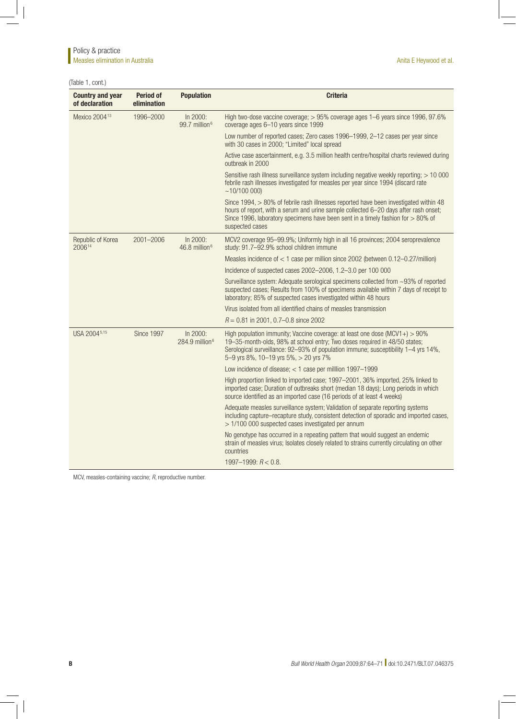(Table 1, cont.)

| <b>Country and year</b><br>of declaration | <b>Period of</b><br>elimination                               | <b>Population</b>                       | <b>Criteria</b>                                                                                                                                                                                                                                                                             |  |  |  |  |
|-------------------------------------------|---------------------------------------------------------------|-----------------------------------------|---------------------------------------------------------------------------------------------------------------------------------------------------------------------------------------------------------------------------------------------------------------------------------------------|--|--|--|--|
| Mexico 2004 <sup>13</sup>                 | 1996-2000                                                     | In 2000:<br>99.7 million <sup>6</sup>   | High two-dose vaccine coverage; > 95% coverage ages 1–6 years since 1996, 97.6%<br>coverage ages 6-10 years since 1999                                                                                                                                                                      |  |  |  |  |
|                                           |                                                               |                                         | Low number of reported cases; Zero cases 1996-1999, 2-12 cases per year since<br>with 30 cases in 2000; "Limited" local spread                                                                                                                                                              |  |  |  |  |
|                                           |                                                               |                                         | Active case ascertainment, e.g. 3.5 million health centre/hospital charts reviewed during<br>outbreak in 2000                                                                                                                                                                               |  |  |  |  |
|                                           |                                                               |                                         | Sensitive rash illness surveillance system including negative weekly reporting; > 10 000<br>febrile rash illnesses investigated for measles per year since 1994 (discard rate<br>~10/100~000                                                                                                |  |  |  |  |
|                                           |                                                               |                                         | Since 1994, > 80% of febrile rash illnesses reported have been investigated within 48<br>hours of report, with a serum and urine sample collected 6-20 days after rash onset;<br>Since 1996, laboratory specimens have been sent in a timely fashion for $> 80\%$ of<br>suspected cases     |  |  |  |  |
| Republic of Korea<br>200614               | 2001-2006                                                     | In 2000:<br>$46.8$ million <sup>6</sup> | MCV2 coverage 95-99.9%; Uniformly high in all 16 provinces; 2004 seroprevalence<br>study: 91.7-92.9% school children immune                                                                                                                                                                 |  |  |  |  |
|                                           |                                                               |                                         | Measles incidence of $<$ 1 case per million since 2002 (between 0.12-0.27/million)                                                                                                                                                                                                          |  |  |  |  |
|                                           |                                                               |                                         | Incidence of suspected cases 2002-2006, 1.2-3.0 per 100 000                                                                                                                                                                                                                                 |  |  |  |  |
|                                           |                                                               |                                         | Surveillance system: Adequate serological specimens collected from ~93% of reported<br>suspected cases; Results from 100% of specimens available within 7 days of receipt to<br>laboratory; 85% of suspected cases investigated within 48 hours                                             |  |  |  |  |
|                                           |                                                               |                                         | Virus isolated from all identified chains of measles transmission                                                                                                                                                                                                                           |  |  |  |  |
|                                           |                                                               |                                         | $R = 0.81$ in 2001, 0.7-0.8 since 2002                                                                                                                                                                                                                                                      |  |  |  |  |
| USA 2004 <sup>5,15</sup>                  | <b>Since 1997</b><br>In 2000:<br>$284.9$ million <sup>6</sup> |                                         | High population immunity; Vaccine coverage: at least one dose $(MCV1+) > 90\%$<br>19-35-month-olds, 98% at school entry; Two doses required in 48/50 states;<br>Serological surveillance: 92-93% of population immune; susceptibility 1-4 yrs 14%,<br>5-9 yrs 8%, 10-19 yrs 5%, > 20 yrs 7% |  |  |  |  |
|                                           |                                                               |                                         | Low incidence of disease; $<$ 1 case per million 1997-1999                                                                                                                                                                                                                                  |  |  |  |  |
|                                           |                                                               |                                         | High proportion linked to imported case; 1997-2001, 36% imported, 25% linked to<br>imported case; Duration of outbreaks short (median 18 days); Long periods in which<br>source identified as an imported case (16 periods of at least 4 weeks)                                             |  |  |  |  |
|                                           |                                                               |                                         | Adequate measles surveillance system; Validation of separate reporting systems<br>including capture-recapture study, consistent detection of sporadic and imported cases,<br>> 1/100 000 suspected cases investigated per annum                                                             |  |  |  |  |
|                                           |                                                               |                                         | No genotype has occurred in a repeating pattern that would suggest an endemic<br>strain of measles virus; Isolates closely related to strains currently circulating on other<br>countries                                                                                                   |  |  |  |  |
|                                           |                                                               |                                         | $1997 - 1999$ : $R < 0.8$ .                                                                                                                                                                                                                                                                 |  |  |  |  |

MCV, measles-containing vaccine; *R*, reproductive number.